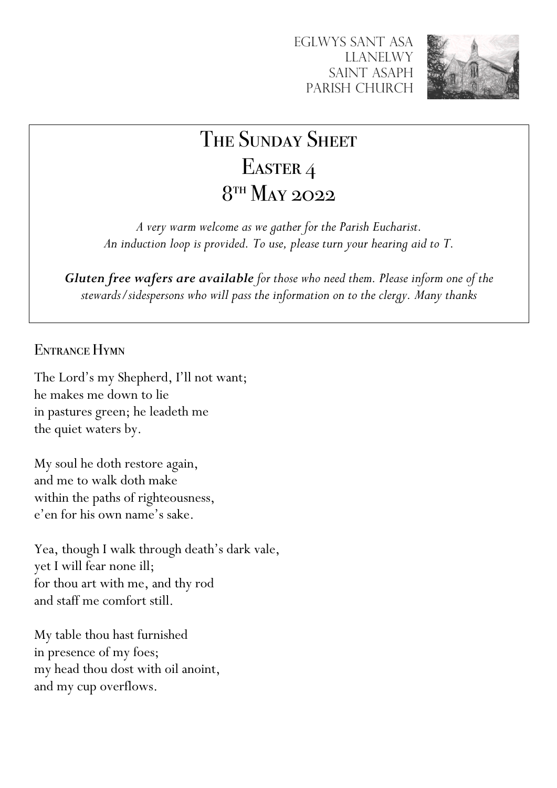

# THE SUNDAY SHEET EASTER 4 8<sup>TH</sup> MAY 2022

*A very warm welcome as we gather for the Parish Eucharist. An induction loop is provided. To use, please turn your hearing aid to T.*

*Gluten free wafers are available for those who need them. Please inform one of the stewards/sidespersons who will pass the information on to the clergy. Many thanks*

ENTRANCE HYMN

The Lord's my Shepherd, I'll not want; he makes me down to lie in pastures green; he leadeth me the quiet waters by.

My soul he doth restore again, and me to walk doth make within the paths of righteousness, e'en for his own name's sake.

Yea, though I walk through death's dark vale, yet I will fear none ill; for thou art with me, and thy rod and staff me comfort still.

My table thou hast furnished in presence of my foes; my head thou dost with oil anoint, and my cup overflows.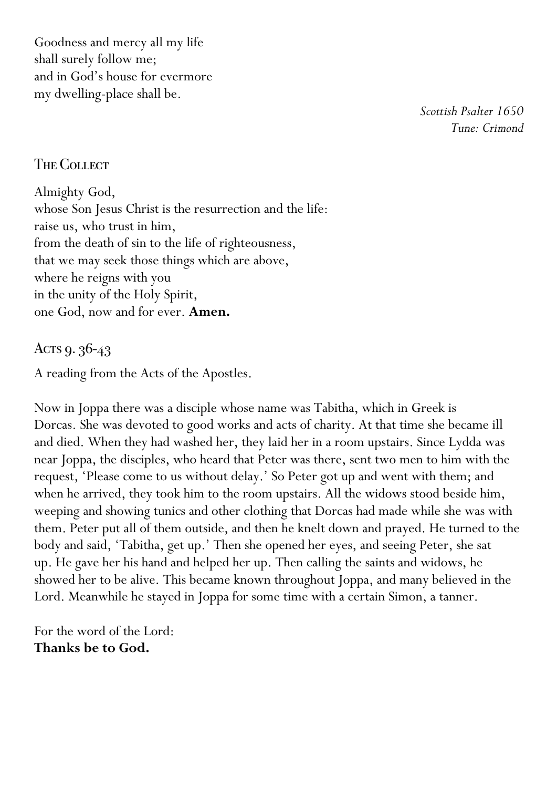Goodness and mercy all my life shall surely follow me; and in God's house for evermore my dwelling-place shall be.

> *Scottish Psalter 1650 Tune: Crimond*

#### THE COLLECT

Almighty God, whose Son Jesus Christ is the resurrection and the life: raise us, who trust in him, from the death of sin to the life of righteousness, that we may seek those things which are above, where he reigns with you in the unity of the Holy Spirit, one God, now and for ever. **Amen.**

#### Acts 9. 36-43

A reading from the Acts of the Apostles.

Now in Joppa there was a disciple whose name was Tabitha, which in Greek is Dorcas. She was devoted to good works and acts of charity. At that time she became ill and died. When they had washed her, they laid her in a room upstairs. Since Lydda was near Joppa, the disciples, who heard that Peter was there, sent two men to him with the request, 'Please come to us without delay.' So Peter got up and went with them; and when he arrived, they took him to the room upstairs. All the widows stood beside him, weeping and showing tunics and other clothing that Dorcas had made while she was with them. Peter put all of them outside, and then he knelt down and prayed. He turned to the body and said, 'Tabitha, get up.' Then she opened her eyes, and seeing Peter, she sat up. He gave her his hand and helped her up. Then calling the saints and widows, he showed her to be alive. This became known throughout Joppa, and many believed in the Lord. Meanwhile he stayed in Joppa for some time with a certain Simon, a tanner.

For the word of the Lord: **Thanks be to God.**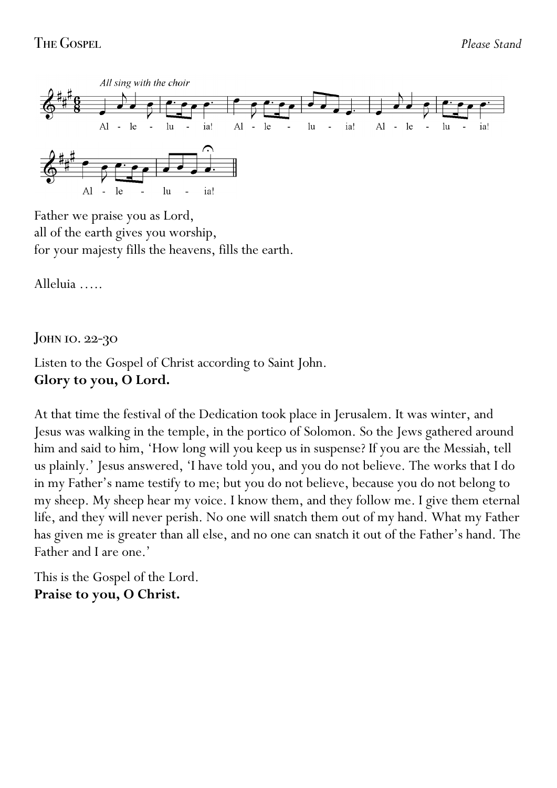

Father we praise you as Lord, all of the earth gives you worship, for your majesty fills the heavens, fills the earth.

Alleluia …..

JOHN 10. 22-30

Listen to the Gospel of Christ according to Saint John. **Glory to you, O Lord.**

At that time the festival of the Dedication took place in Jerusalem. It was winter, and Jesus was walking in the temple, in the portico of Solomon. So the Jews gathered around him and said to him, 'How long will you keep us in suspense? If you are the Messiah, tell us plainly.' Jesus answered, 'I have told you, and you do not believe. The works that I do in my Father's name testify to me; but you do not believe, because you do not belong to my sheep. My sheep hear my voice. I know them, and they follow me. I give them eternal life, and they will never perish. No one will snatch them out of my hand. What my Father has given me is greater than all else, and no one can snatch it out of the Father's hand. The Father and I are one.'

This is the Gospel of the Lord. **Praise to you, O Christ.**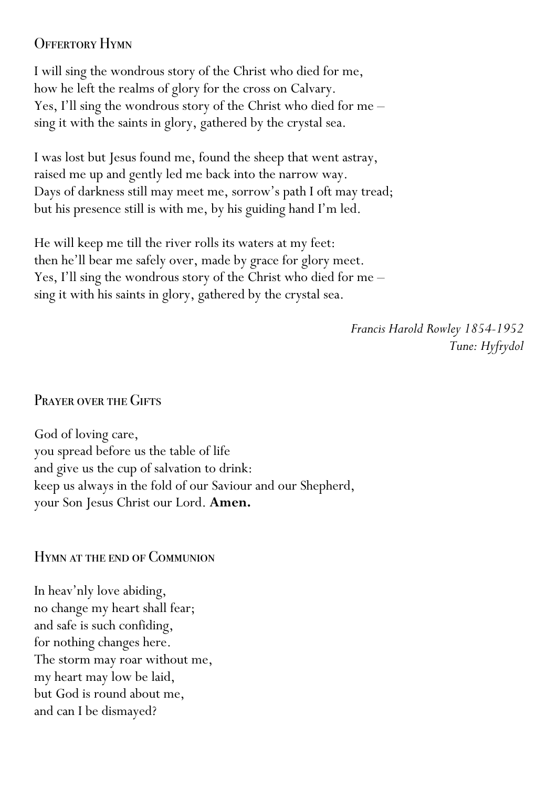#### OFFERTORY HYMN

I will sing the wondrous story of the Christ who died for me, how he left the realms of glory for the cross on Calvary. Yes, I'll sing the wondrous story of the Christ who died for me – sing it with the saints in glory, gathered by the crystal sea.

I was lost but Jesus found me, found the sheep that went astray, raised me up and gently led me back into the narrow way. Days of darkness still may meet me, sorrow's path I oft may tread; but his presence still is with me, by his guiding hand I'm led.

He will keep me till the river rolls its waters at my feet: then he'll bear me safely over, made by grace for glory meet. Yes, I'll sing the wondrous story of the Christ who died for me – sing it with his saints in glory, gathered by the crystal sea.

> *Francis Harold Rowley 1854-1952 Tune: Hyfrydol*

PRAYER OVER THE GIFTS

God of loving care, you spread before us the table of life and give us the cup of salvation to drink: keep us always in the fold of our Saviour and our Shepherd, your Son Jesus Christ our Lord. **Amen.**

Hymn at the end of Communion

In heav'nly love abiding, no change my heart shall fear; and safe is such confiding, for nothing changes here. The storm may roar without me, my heart may low be laid, but God is round about me, and can I be dismayed?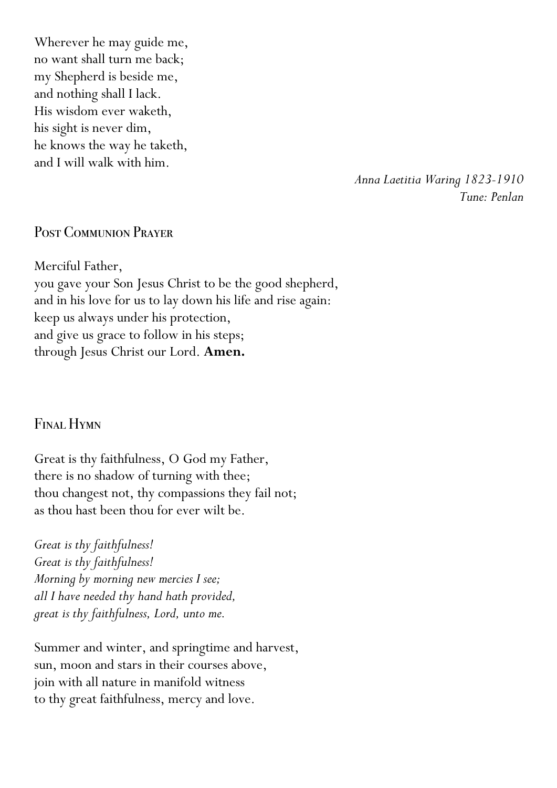Wherever he may guide me, no want shall turn me back; my Shepherd is beside me, and nothing shall I lack. His wisdom ever waketh, his sight is never dim, he knows the way he taketh, and I will walk with him.

> *Anna Laetitia Waring 1823-1910 Tune: Penlan*

#### POST COMMUNION PRAYER

Merciful Father,

you gave your Son Jesus Christ to be the good shepherd, and in his love for us to lay down his life and rise again: keep us always under his protection, and give us grace to follow in his steps; through Jesus Christ our Lord. **Amen.**

#### Final Hymn

Great is thy faithfulness, O God my Father, there is no shadow of turning with thee; thou changest not, thy compassions they fail not; as thou hast been thou for ever wilt be.

*Great is thy faithfulness! Great is thy faithfulness! Morning by morning new mercies I see; all I have needed thy hand hath provided, great is thy faithfulness, Lord, unto me.*

Summer and winter, and springtime and harvest, sun, moon and stars in their courses above, join with all nature in manifold witness to thy great faithfulness, mercy and love.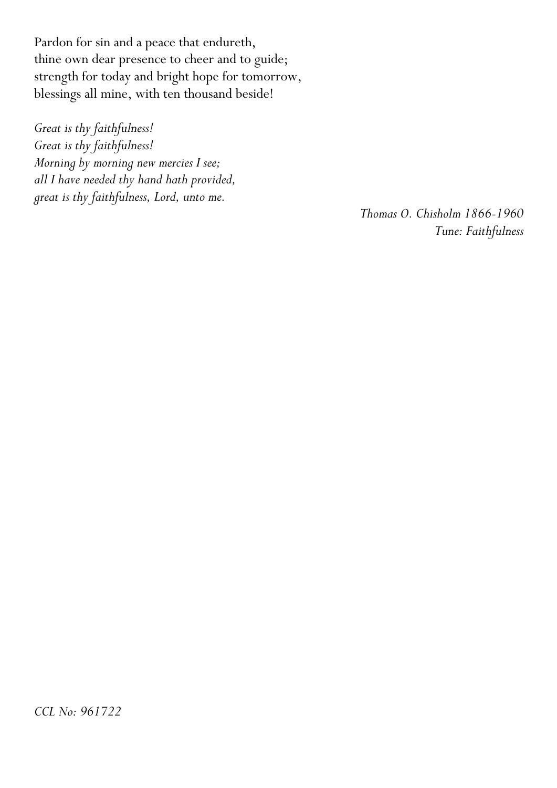Pardon for sin and a peace that endureth, thine own dear presence to cheer and to guide; strength for today and bright hope for tomorrow, blessings all mine, with ten thousand beside!

*Great is thy faithfulness! Great is thy faithfulness! Morning by morning new mercies I see; all I have needed thy hand hath provided, great is thy faithfulness, Lord, unto me.*

> *Thomas O. Chisholm 1866-1960 Tune: Faithfulness*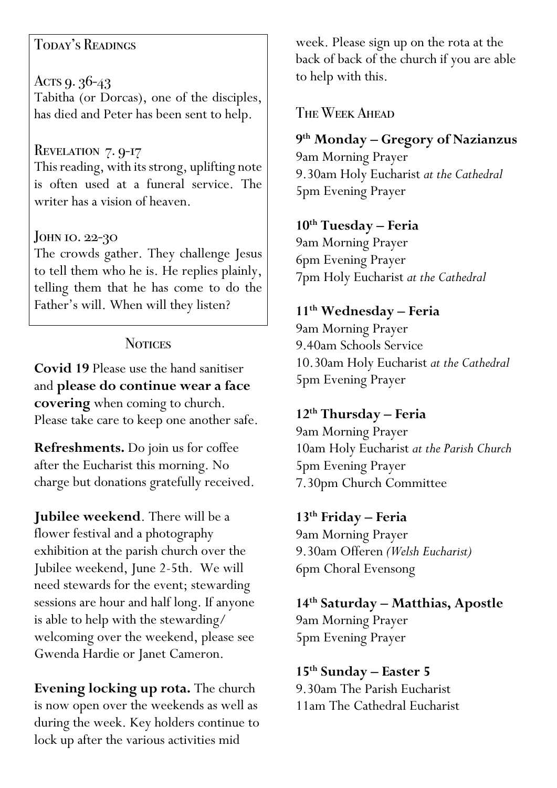#### Today's Readings

Acts 9. 36-43 Tabitha (or Dorcas), one of the disciples, has died and Peter has been sent to help.

#### REVELATION 7. 9-17

This reading, with its strong, uplifting note is often used at a funeral service. The writer has a vision of heaven.

#### JOHN 10. 22-30

The crowds gather. They challenge Jesus to tell them who he is. He replies plainly, telling them that he has come to do the Father's will. When will they listen?

#### **NOTICES**

**Covid 19** Please use the hand sanitiser and **please do continue wear a face covering** when coming to church. Please take care to keep one another safe.

**Refreshments.** Do join us for coffee after the Eucharist this morning. No charge but donations gratefully received.

**Jubilee weekend**. There will be a flower festival and a photography exhibition at the parish church over the Jubilee weekend, June 2-5th. We will need stewards for the event; stewarding sessions are hour and half long. If anyone is able to help with the stewarding/ welcoming over the weekend, please see Gwenda Hardie or Janet Cameron.

**Evening locking up rota.** The church is now open over the weekends as well as during the week. Key holders continue to lock up after the various activities mid

week. Please sign up on the rota at the back of back of the church if you are able to help with this.

#### The Week Ahead

## **9th Monday – Gregory of Nazianzus**

9am Morning Prayer 9.30am Holy Eucharist *at the Cathedral* 5pm Evening Prayer

#### **10th Tuesday – Feria**

9am Morning Prayer 6pm Evening Prayer 7pm Holy Eucharist *at the Cathedral*

### **11th Wednesday – Feria**

9am Morning Prayer 9.40am Schools Service 10.30am Holy Eucharist *at the Cathedral* 5pm Evening Prayer

#### **12th Thursday – Feria**

9am Morning Prayer 10am Holy Eucharist *at the Parish Church* 5pm Evening Prayer 7.30pm Church Committee

#### **13th Friday – Feria** 9am Morning Prayer 9.30am Offeren *(Welsh Eucharist)* 6pm Choral Evensong

**14th Saturday – Matthias, Apostle** 9am Morning Prayer 5pm Evening Prayer

**15th Sunday – Easter 5** 9.30am The Parish Eucharist 11am The Cathedral Eucharist